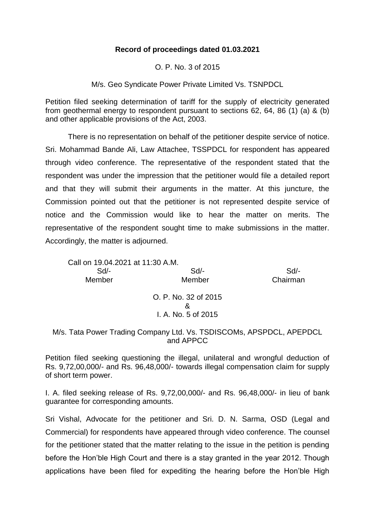## **Record of proceedings dated 01.03.2021**

O. P. No. 3 of 2015

M/s. Geo Syndicate Power Private Limited Vs. TSNPDCL

Petition filed seeking determination of tariff for the supply of electricity generated from geothermal energy to respondent pursuant to sections 62, 64, 86 (1) (a) & (b) and other applicable provisions of the Act, 2003.

There is no representation on behalf of the petitioner despite service of notice. Sri. Mohammad Bande Ali, Law Attachee, TSSPDCL for respondent has appeared through video conference. The representative of the respondent stated that the respondent was under the impression that the petitioner would file a detailed report and that they will submit their arguments in the matter. At this juncture, the Commission pointed out that the petitioner is not represented despite service of notice and the Commission would like to hear the matter on merits. The representative of the respondent sought time to make submissions in the matter. Accordingly, the matter is adjourned.

Call on 19.04.2021 at 11:30 A.M. Sd/- Sd/- Sd/- Member Member Chairman O. P. No. 32 of 2015 &

## I. A. No. 5 of 2015

## M/s. Tata Power Trading Company Ltd. Vs. TSDISCOMs, APSPDCL, APEPDCL and APPCC

Petition filed seeking questioning the illegal, unilateral and wrongful deduction of Rs. 9,72,00,000/- and Rs. 96,48,000/- towards illegal compensation claim for supply of short term power.

I. A. filed seeking release of Rs. 9,72,00,000/- and Rs. 96,48,000/- in lieu of bank guarantee for corresponding amounts.

Sri Vishal, Advocate for the petitioner and Sri. D. N. Sarma, OSD (Legal and Commercial) for respondents have appeared through video conference. The counsel for the petitioner stated that the matter relating to the issue in the petition is pending before the Hon'ble High Court and there is a stay granted in the year 2012. Though applications have been filed for expediting the hearing before the Hon'ble High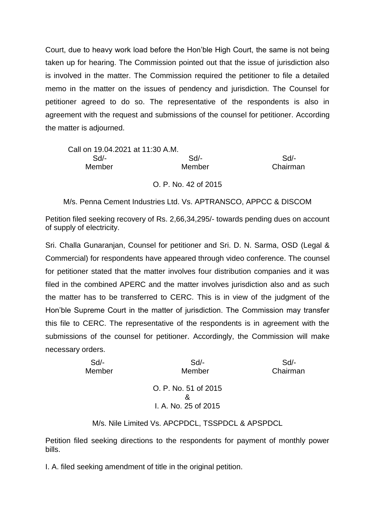Court, due to heavy work load before the Hon'ble High Court, the same is not being taken up for hearing. The Commission pointed out that the issue of jurisdiction also is involved in the matter. The Commission required the petitioner to file a detailed memo in the matter on the issues of pendency and jurisdiction. The Counsel for petitioner agreed to do so. The representative of the respondents is also in agreement with the request and submissions of the counsel for petitioner. According the matter is adjourned.

| Call on 19.04.2021 at 11:30 A.M. |                      |          |
|----------------------------------|----------------------|----------|
| $Sd/-$                           | Sd                   | Sd       |
| Member                           | Member               | Chairman |
|                                  | O. P. No. 42 of 2015 |          |

M/s. Penna Cement Industries Ltd. Vs. APTRANSCO, APPCC & DISCOM

Petition filed seeking recovery of Rs. 2,66,34,295/- towards pending dues on account of supply of electricity.

Sri. Challa Gunaranjan, Counsel for petitioner and Sri. D. N. Sarma, OSD (Legal & Commercial) for respondents have appeared through video conference. The counsel for petitioner stated that the matter involves four distribution companies and it was filed in the combined APERC and the matter involves jurisdiction also and as such the matter has to be transferred to CERC. This is in view of the judgment of the Hon'ble Supreme Court in the matter of jurisdiction. The Commission may transfer this file to CERC. The representative of the respondents is in agreement with the submissions of the counsel for petitioner. Accordingly, the Commission will make necessary orders.

| $Sd$ - | $Sd$ -               | $Sd$ -   |
|--------|----------------------|----------|
| Member | Member               | Chairman |
|        |                      |          |
|        | O. P. No. 51 of 2015 |          |
|        | &                    |          |
|        | I. A. No. 25 of 2015 |          |
|        |                      |          |

M/s. Nile Limited Vs. APCPDCL, TSSPDCL & APSPDCL

Petition filed seeking directions to the respondents for payment of monthly power bills.

I. A. filed seeking amendment of title in the original petition.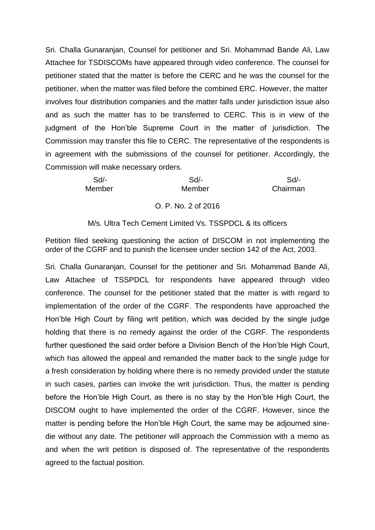Sri. Challa Gunaranjan, Counsel for petitioner and Sri. Mohammad Bande Ali, Law Attachee for TSDISCOMs have appeared through video conference. The counsel for petitioner stated that the matter is before the CERC and he was the counsel for the petitioner, when the matter was filed before the combined ERC. However, the matter involves four distribution companies and the matter falls under jurisdiction issue also and as such the matter has to be transferred to CERC. This is in view of the judgment of the Hon'ble Supreme Court in the matter of jurisdiction. The Commission may transfer this file to CERC. The representative of the respondents is in agreement with the submissions of the counsel for petitioner. Accordingly, the Commission will make necessary orders.

 Sd/- Sd/- Sd/- Member Member Chairman

O. P. No. 2 of 2016

M/s. Ultra Tech Cement Limited Vs. TSSPDCL & its officers

Petition filed seeking questioning the action of DISCOM in not implementing the order of the CGRF and to punish the licensee under section 142 of the Act, 2003.

Sri. Challa Gunaranjan, Counsel for the petitioner and Sri. Mohammad Bande Ali, Law Attachee of TSSPDCL for respondents have appeared through video conference. The counsel for the petitioner stated that the matter is with regard to implementation of the order of the CGRF. The respondents have approached the Hon'ble High Court by filing writ petition, which was decided by the single judge holding that there is no remedy against the order of the CGRF. The respondents further questioned the said order before a Division Bench of the Hon'ble High Court, which has allowed the appeal and remanded the matter back to the single judge for a fresh consideration by holding where there is no remedy provided under the statute in such cases, parties can invoke the writ jurisdiction. Thus, the matter is pending before the Hon'ble High Court, as there is no stay by the Hon'ble High Court, the DISCOM ought to have implemented the order of the CGRF. However, since the matter is pending before the Hon'ble High Court, the same may be adjourned sinedie without any date. The petitioner will approach the Commission with a memo as and when the writ petition is disposed of. The representative of the respondents agreed to the factual position.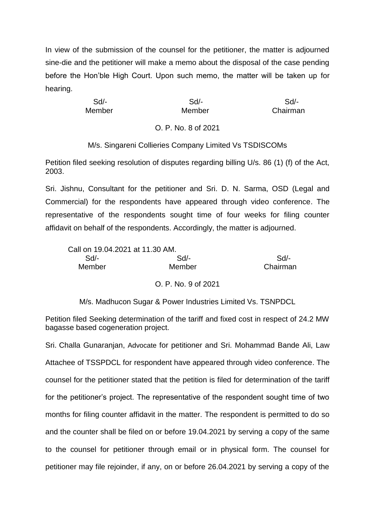In view of the submission of the counsel for the petitioner, the matter is adjourned sine-die and the petitioner will make a memo about the disposal of the case pending before the Hon'ble High Court. Upon such memo, the matter will be taken up for hearing.

 Sd/- Sd/- Sd/- Member Member Chairman

O. P. No. 8 of 2021

M/s. Singareni Collieries Company Limited Vs TSDISCOMs

Petition filed seeking resolution of disputes regarding billing U/s. 86 (1) (f) of the Act, 2003.

Sri. Jishnu, Consultant for the petitioner and Sri. D. N. Sarma, OSD (Legal and Commercial) for the respondents have appeared through video conference. The representative of the respondents sought time of four weeks for filing counter affidavit on behalf of the respondents. Accordingly, the matter is adjourned.

| Call on 19.04.2021 at 11.30 AM. |        |          |
|---------------------------------|--------|----------|
| Sd/-                            | Sd/-   | $Sd/$ -  |
| Member                          | Member | Chairman |

O. P. No. 9 of 2021

M/s. Madhucon Sugar & Power Industries Limited Vs. TSNPDCL

Petition filed Seeking determination of the tariff and fixed cost in respect of 24.2 MW bagasse based cogeneration project.

Sri. Challa Gunaranjan, Advocate for petitioner and Sri. Mohammad Bande Ali, Law Attachee of TSSPDCL for respondent have appeared through video conference. The counsel for the petitioner stated that the petition is filed for determination of the tariff for the petitioner's project. The representative of the respondent sought time of two months for filing counter affidavit in the matter. The respondent is permitted to do so and the counter shall be filed on or before 19.04.2021 by serving a copy of the same to the counsel for petitioner through email or in physical form. The counsel for petitioner may file rejoinder, if any, on or before 26.04.2021 by serving a copy of the